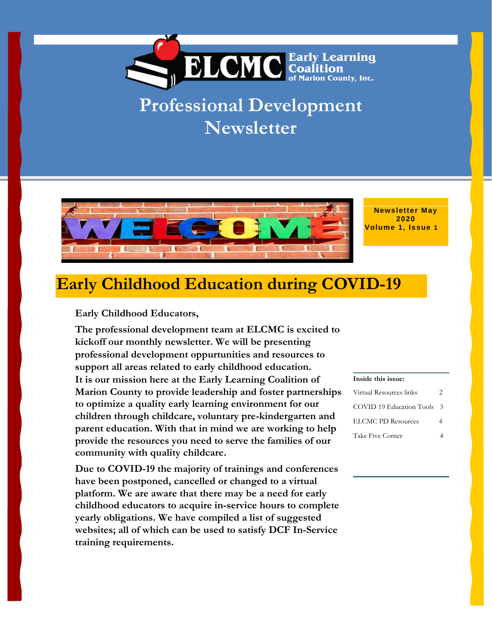

## **Professional Development Newsletter**



**Newsletter May 2020 Volume 1, Issue 1**

## **Early Childhood Education during COVID-19**

#### **Early Childhood Educators,**

**The professional development team at ELCMC is excited to kickoff our monthly newsletter. We will be presenting professional development oppurtunities and resources to support all areas related to early childhood education. It is our mission here at the Early Learning Coalition of Marion County to provide leadership and foster partnerships to optimize a quality early learning environment for our children through childcare, voluntary pre-kindergarten and parent education. With that in mind we are working to help provide the resources you need to serve the families of our community with quality childcare.**

**Due to COVID-19 the majority of trainings and conferences have been postponed, cancelled or changed to a virtual platform. We are aware that there may be a need for early childhood educators to acquire in-service hours to complete yearly obligations. We have compiled a list of suggested websites; all of which can be used to satisfy DCF In-Service training requirements.**

#### **Inside this issue:**

| Virtual Resources links   | 2  |
|---------------------------|----|
| COVID 19 Education Tools  | -3 |
| <b>ELCMC PD Resources</b> |    |
| Take Five Corner          |    |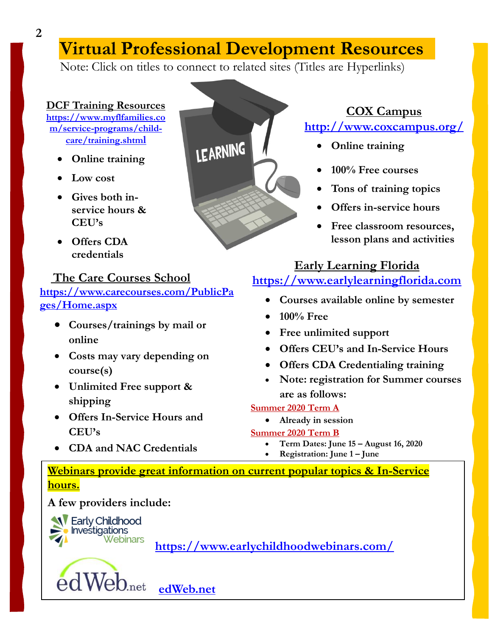## **Virtual Professional Development Resources**

Note: Click on titles to connect to related sites (Titles are Hyperlinks)

### **[DCF Training Resources](https://www.myflfamilies.com/service-programs/child-care/training.shtml) [https://www.myflfamilies.co](https://www.myflfamilies.com/service-programs/child-care/training.shtml)**

**[m/service-programs/child](https://www.myflfamilies.com/service-programs/child-care/training.shtml)[care/training.shtm](https://www.myflfamilies.com/service-programs/child-care/training.shtml)l**

- **Online training**
- **Low cost**
- **Gives both inservice hours & CEU's**
- **Offers CDA credentials**

## **[The Care Courses School](https://www.carecourses.com/PublicPages/Home.aspx)**

**[https://www.carecourses.com/PublicPa](https://www.carecourses.com/PublicPages/Home.aspx) [ges/Home.aspx](https://www.carecourses.com/PublicPages/Home.aspx)**

- **Courses/trainings by mail or online**
- **Costs may vary depending on course(s)**
- **Unlimited Free support & shipping**
- **Offers In-Service Hours and CEU's**
- **CDA and NAC Credentials**



## **[COX Campus](http://www.coxcampus.org/)  <http://www.coxcampus.org/>**

- **Online training**
- **100% Free courses**
- **Tons of training topics**
- **Offers in-service hours**
- **Free classroom resources, lesson plans and activities**

### **[Early Learning Florida](https://www.earlylearningflorida.com/)**

## **[https://www.earlylearningflorida.com](https://www.earlylearningflorida.com/)**

- **Courses available online by semester**
- **100% Free**
- **Free unlimited support**
- **Offers CEU's and In-Service Hours**
- **Offers CDA Credentialing training**
- **Note: registration for Summer courses are as follows:**

### **Summer 2020 Term A**

- **Already in session Summer 2020 Term B**
	- **Term Dates: June 15 – August 16, 2020**
	- **Registration: June 1 – June**

### **Webinars provide great information on current popular topics & In-Service hours.**

**A few providers include:**



edWeb.net  **[edWeb.net](https://home.edweb.net/)**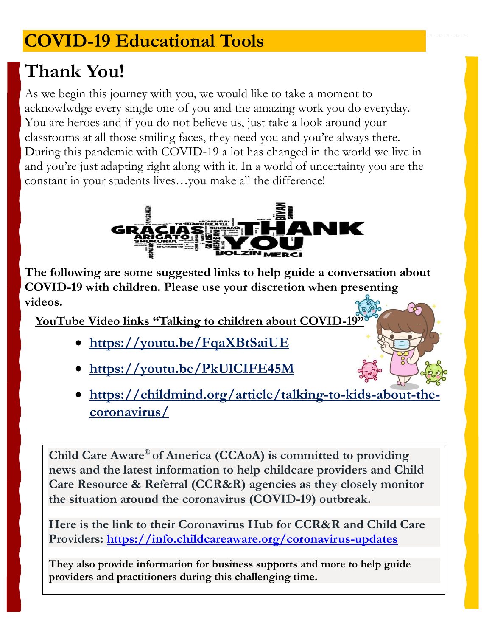# **COVID-19 Educational Tools**

# **Thank You!**

As we begin this journey with you, we would like to take a moment to acknowlwdge every single one of you and the amazing work you do everyday. You are heroes and if you do not believe us, just take a look around your classrooms at all those smiling faces, they need you and you're always there. During this pandemic with COVID-19 a lot has changed in the world we live in and you're just adapting right along with it. In a world of uncertainty you are the constant in your students lives...you make all the difference!



**The following are some suggested links to help guide a conversation about**  n **COVID-19 with children. Please use your discretion when presenting**  t **videos.** h

**YouTube Video links "Talking to children about COVID-19"** j

- **<https://youtu.be/FqaXBtSaiUE>** u
- **https://youtu.be/PkUlCIFE45M**  n
- **https://childmind.org/article/talking-to-kids-about-the-**y **coronavirus/**

 $\overline{a}$ Child Care Aware<sup>®</sup> of America (CCAoA) is committed to providing u **news and the latest information to help childcare providers and Child**  , **Care Resource & Referral (CCR&R) agencies as they closely monitor**   $\overline{\phantom{0}}$ the situation around the coronavirus (COVID-19) outbreak.

Here is the link to their Coronavirus Hub for CCR&R and Child Care o u **Providers: <https://info.childcareaware.org/coronavirus-updates>**

They also provide information for business supports and more to help guide li **providers and practitioners during this challenging time.**

k